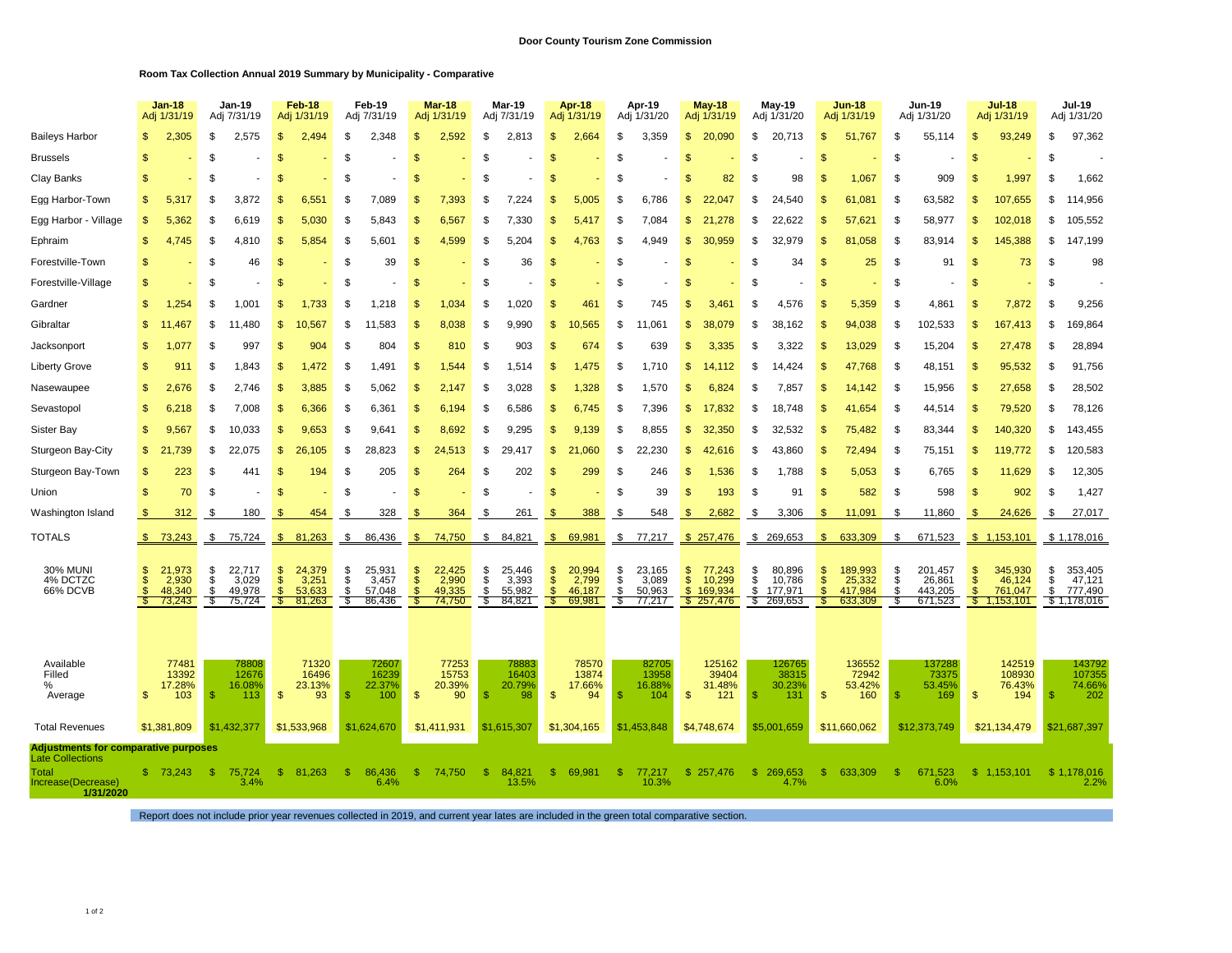## **Room Tax Collection Annual 2019 Summary by Municipality - Comparative**

|                                          |                                             | Jan-18<br>Adj 1/31/19 |                    | <b>Jan-19</b><br>Adj 7/31/19 |                                | Feb-18<br>Adj 1/31/19 |          | Feb-19<br>Adj 7/31/19 |                      | <b>Mar-18</b><br>Adj 1/31/19 |               | <b>Mar-19</b><br>Adj 7/31/19 |                    | Apr-18<br>Adj 1/31/19 |               | Apr-19<br>Adj 1/31/20 |                      | <b>May-18</b><br>Adj 1/31/19 |          | May-19<br>Adj 1/31/20 |                     | Jun-18<br>Adj 1/31/19 |               | Jun-19<br>Adj 1/31/20 |                              | <b>Jul-18</b><br>Adj 1/31/19 |         | Jul-19<br>Adj 1/31/20  |
|------------------------------------------|---------------------------------------------|-----------------------|--------------------|------------------------------|--------------------------------|-----------------------|----------|-----------------------|----------------------|------------------------------|---------------|------------------------------|--------------------|-----------------------|---------------|-----------------------|----------------------|------------------------------|----------|-----------------------|---------------------|-----------------------|---------------|-----------------------|------------------------------|------------------------------|---------|------------------------|
| <b>Baileys Harbor</b>                    |                                             | 2,305                 | \$                 | 2,575                        | \$                             | 2.494                 | S        | 2,348                 | <b>.S</b>            | 2,592                        | \$.           | 2,813                        | S                  | 2,664                 | S             | 3,359                 | \$                   | 20.090                       | \$.      | 20,713                | $\mathbb{S}$        | 51,767                | -96           | 55.114                | \$                           | 93,249                       | \$.     | 97,362                 |
| <b>Brussels</b>                          | \$.                                         |                       | -S                 |                              | \$                             |                       | S        |                       |                      |                              | - \$          |                              |                    |                       | S             |                       | <sup>\$</sup>        |                              | S        |                       | S                   |                       | <b>S</b>      |                       | $\mathfrak{L}$               |                              | S       |                        |
| Clay Banks                               | £.                                          |                       | - \$               |                              | £.                             |                       | S        |                       | <b>.S</b>            |                              | . ጽ           |                              | £.                 |                       | \$            |                       | <b>S</b>             | 82                           | £.       | 98                    | $\mathbf{s}$        | 1.067                 | <b>S</b>      | 909                   | ŗ.                           | 1,997                        | S.      | 1,662                  |
| Egg Harbor-Town                          | \$.                                         | 5,317                 | -S                 | 3,872                        | \$                             | 6,551                 | \$       | 7,089                 | -\$                  | 7,393                        | -S            | 7,224                        | \$.                | 5,005                 | -S            | 6,786                 | $\mathbf{s}$         | 22                           | \$.      | 24.540                | \$                  | 61.081                | S             | 63,582                | <b>S</b>                     | 107,655                      | S       | 114,956                |
| Egg Harbor - Village                     | \$.                                         | 5,362                 | S                  | 6.619                        | \$                             | 5.030                 | \$       | 5,843                 |                      | 6,567                        | - \$          | 7.330                        | \$.                | 5,417                 | \$            | 7.084                 | \$                   | 21<br>.278                   | \$       | 22.622                | \$                  | 57.621                | \$.           | 58,977                | \$                           | 102,018                      | \$.     | 105,552                |
| Ephraim                                  | \$.                                         | 4,745                 | £                  | 4.810                        | \$.                            | 5.854                 | \$       | 5.601                 | -\$                  | 4,599                        | \$.           | 5.204                        | S                  | 4.763                 | \$            | 4.949                 | \$                   | 30.959                       | S        | 32.979                | \$                  | 81.058                | \$.           | 83,914                | \$.                          | 145,388                      | \$.     | 147,199                |
| Forestville-Town                         | S                                           |                       | -S                 | 46                           | \$.                            |                       | \$       | 39                    | -\$                  |                              | - \$          | 36                           | S                  |                       | S             |                       | S                    |                              | S        | 34                    | $\mathbf{s}$        | 25                    | <b>S</b>      | 91                    | $\mathfrak{L}$               | 73                           | \$      | 98                     |
| Forestville-Village                      | £.                                          |                       | <sup>\$</sup>      |                              | \$                             |                       | \$       |                       | $\mathcal{F}$        |                              | <sup>\$</sup> |                              | £.                 |                       | <b>S</b>      |                       | $\mathcal{S}$        |                              | £.       |                       | <sup>\$</sup>       |                       | \$            |                       | $\mathbf{s}$                 |                              | \$      |                        |
| Gardner                                  | \$.                                         | 1,254                 | £                  | 1,001                        | \$                             | 1,733                 | S        | 1,218                 |                      | 1,034                        | -S            | 1,020                        |                    | 461                   | S             | 745                   | S                    | 3,46'                        | S        | 4,576                 | S                   | 5,359                 | S.            | 4,861                 | S                            | 7,872                        | S       | 9,256                  |
| Gibraltar                                | \$.                                         | 11,467                | -S                 | 11,480                       | \$                             | 10,567                | \$       | 11,583                |                      | 8,038                        | -S            | 9,990                        | \$                 | .565<br>10            | \$            | 11,061                | $\mathbf{s}$         | 38,079                       | \$.      | 38,162                | $\mathbf{s}$        | 94,038                | S             | 102,533               | <b>S</b>                     | 167,413                      | S.      | 69,864                 |
| Jacksonport                              | \$.                                         | 1,077                 | -S                 | 997                          | \$                             | 904                   | \$       | 804                   | -\$                  | 810                          | -S            | 903                          | \$.                | 674                   | -S            | 639                   | <b>S</b>             | 3,335                        | S        | 3,322                 | $\mathbb{S}$        | 13,029                | \$            | 15,204                | <b>S</b>                     | 27,478                       | \$      | 28,894                 |
| <b>Liberty Grove</b>                     | \$.                                         | 911                   | - \$               | 1.843                        | \$.                            | 1.472                 | \$       | 1.491                 | -\$                  | 1.544                        | \$            | 1.514                        | \$.                | 1475                  | \$            | 1.710                 | \$                   | 14.112                       | \$       | 14.424                | \$                  | 47.768                | \$.           | 48,151                | \$.                          | 95,532                       | \$      | 91,756                 |
| Nasewaupee                               | \$.                                         | 2.676                 | \$                 | 2,746                        | \$                             | 3.885                 | \$       | 5,062                 | . \$                 | 2.147                        | - \$          | 3,028                        | \$                 | 1.328                 | \$            | 1,570                 | \$                   | 6.824                        | £.       | 7.857                 | $\mathbf{s}$        | 14,142                | \$.           | 15,956                | $\mathfrak{s}$               | 27,658                       | \$      | 28,502                 |
| Sevastopol                               |                                             | 6,218                 | - \$               | 7,008                        | \$.                            | 6.366                 | S        | 6,361                 | - \$                 | 6.194                        | - \$          | 6,586                        | S                  | 6,745                 | -S            | 7,396                 | \$                   | 17.832                       | \$.      | 18,748                | \$                  | 41.654                | <b>S</b>      | 44,514                | £.                           | 79,520                       | S       | 78,126                 |
| Sister Bay                               | \$.                                         | 9,567                 | -S                 | 10,033                       | \$                             | 9.653                 | \$       | 9,641                 | -\$                  | 8,692                        | - \$          | 9.295                        | \$.                | 9,139                 | -S            | 8,855                 | \$                   | 32,350                       | S        | 32,532                | \$                  | 75,482                | <b>S</b>      | 83,344                | -S                           | 140,320                      | \$.     | 143,455                |
| Sturgeon Bay-City                        | \$                                          | 21,739                | - \$               | 22.075                       | <b>S</b>                       | 26.105                | \$       | 28,823                | -\$                  | 24,513                       | \$.           | 29.417                       | \$.                | .060                  | \$            | 22,230                | \$                   | 42,616                       | \$.      | 43,860                | <b>S</b>            | 72,494                | - \$          | 75,151                | <b>S</b>                     | 119,772                      | \$.     | 120,583                |
| Sturgeon Bay-Town                        | S                                           | 223                   | - \$               | 441                          | \$                             | 194                   | \$       | 205                   | $\mathfrak{F}$       | 264                          | - \$          | 202                          | S                  | 299                   | <b>S</b>      | 246                   | $\mathbb{S}$         | 1.536                        | \$       | 1.788                 | <b>S</b>            | 5.053                 | <b>S</b>      | 6,765                 | \$                           | 11.629                       | \$.     | 12,305                 |
| Union                                    | \$                                          | 70                    | \$                 |                              | \$                             |                       | \$       |                       | <b>.S</b>            |                              | <sup>\$</sup> |                              | S                  |                       | <sup>\$</sup> | 39                    | $\mathbf{S}$         | 193                          | \$       | 91                    | $\mathbf{s}$        | 582                   | \$            | 598                   | $\mathfrak{s}$               | 902                          | \$      | 1,427                  |
| Washington Island                        |                                             | 312                   | S                  | 180                          |                                | 454                   | - 35     | 328                   |                      | 364                          | - \$          | 261                          |                    | 388                   | - \$          | 548                   | £.                   | 2,682                        | S        | 3,306                 | £.                  | 11,091                | \$.           | 11,860                | ß.                           | 24,626                       | \$      | 27,017                 |
| <b>TOTALS</b>                            |                                             | \$73,243              | \$                 | 75,724                       | \$                             | 81,263                | \$       | 86,436                | -\$                  | 74,750                       | \$            | 84,821                       | $\mathbb{S}$       | 69,981                | \$            | 77,217                |                      | \$257,476                    |          | \$ 269,653            | \$                  | 633,309               | S             | 671,523               |                              | \$1,153,101                  |         | \$1,178,016            |
|                                          |                                             |                       |                    |                              |                                |                       |          |                       |                      |                              |               |                              |                    |                       |               |                       |                      |                              |          |                       |                     |                       |               |                       |                              |                              |         |                        |
| <b>30% MUNI</b><br>4% DCTZC              | \$.<br>\$.                                  | 21,973<br>2,930       | \$<br>S            | 22.717<br>3,029              | \$<br>\$                       | 24.379<br>3,251       | \$<br>\$ | 25,931<br>3,457       | -\$<br>$\mathcal{F}$ | 22,425<br>2,990              | \$<br>\$      | 25.446<br>3,393              | \$<br>$\mathbb{S}$ | 20.994<br>2,799       | \$<br>\$      | 23,165<br>3,089       | \$<br>$\mathfrak{F}$ | 77.243<br>10,299             | \$<br>\$ | 80.896<br>10,786      | \$<br>$\mathbb{S}$  | 189,993<br>25,332     | \$<br>\$      | 201.457<br>26,861     | $\mathbf{s}$<br>$\mathbf{s}$ | 345.930<br>46,124            | \$<br>S | 353.405<br>47,121      |
| 66% DCVB                                 |                                             | 48.340<br>73,243      | <sup>\$</sup><br>S | 49.978<br>75,724             | $\mathcal{F}$<br>$\mathcal{F}$ | 53.633<br>81,263      | \$<br>\$ | 57.048<br>86,436      |                      | 49.335<br>74,750             | \$<br>S       | 55.982<br>84,821             | $\mathbf{s}$<br>S  | 46.187<br>69,981      | \$<br>\$      | 50.963<br>77,217      | \$                   | 169.934<br>\$257,476         | \$       | 177.971<br>\$ 269,653 | $\mathfrak{L}$<br>S | 417.984<br>633,309    | \$<br>S.      | 443.205<br>671,523    | $\mathfrak{s}$               | 761.047<br>\$1,153,101       | \$      | 777,490<br>\$1,178,016 |
|                                          |                                             |                       |                    |                              |                                |                       |          |                       |                      |                              |               |                              |                    |                       |               |                       |                      |                              |          |                       |                     |                       |               |                       |                              |                              |         |                        |
|                                          |                                             |                       |                    |                              |                                |                       |          |                       |                      |                              |               |                              |                    |                       |               |                       |                      |                              |          |                       |                     |                       |               |                       |                              |                              |         |                        |
| Available                                |                                             | 77481                 |                    | 78808                        |                                | 71320                 |          | 72607                 |                      | 77253                        |               | 78883                        |                    | 78570                 |               | 82705                 |                      | 125162                       |          | 126765                |                     | 136552                |               | 137288                |                              | 142519                       |         | 143792                 |
| Filled<br>℅                              |                                             | 13392<br>17.28%       |                    | 12676<br>16.08%              |                                | 16496<br>23.13%       |          | 16239<br>22.37%       |                      | 15753<br>20.39%              |               | 16403<br>20.79%              |                    | 13874<br>17.66%       |               | 13958<br>16.88%       |                      | 39404<br>31.48%              |          | 38315<br>30.23%       |                     | 72942<br>53.42%       |               | 73375<br>53.45%       |                              | 108930<br>76.43%             |         | 107355<br>74.66%       |
| Average                                  | S                                           | 103                   | -S                 | 113                          | $\mathcal{S}$                  | 93                    | \$.      | 100                   | $\mathfrak{F}$       | 90                           | -\$           | 98                           | $\mathfrak{F}$     | 94                    | \$            | 104                   | $\mathcal{S}$        | 121                          | -\$      | 131                   | $\sqrt[6]{3}$       | 160                   | <sup>\$</sup> | 169                   | $\mathsf{\$}$                | 194                          |         | 202                    |
| <b>Total Revenues</b>                    |                                             | \$1,381,809           |                    | \$1,432,377                  |                                | \$1,533,968           |          | \$1,624,670           |                      | \$1,411,931                  |               | \$1,615,307                  |                    | \$1,304,165           |               | \$1,453,848           |                      | \$4,748,674                  |          | \$5,001,659           |                     | \$11,660,062          |               | \$12,373,749          |                              | \$21,134,479                 |         | \$21,687,397           |
| <b>Late Collections</b>                  | <b>Adjustments for comparative purposes</b> |                       |                    |                              |                                |                       |          |                       |                      |                              |               |                              |                    |                       |               |                       |                      |                              |          |                       |                     |                       |               |                       |                              |                              |         |                        |
| Total<br>Increase(Decrease)<br>1/31/2020 | S.                                          | 73.243                | -\$                | 75.724<br>3.4%               | \$                             | 81.263                | -S       | 86,436<br>6.4%        | -\$                  | 74.750                       | $\mathbf{\$}$ | 84.821<br>13.5%              | \$.                | 69.981                | -\$           | 77.217<br>10.3%       | \$.                  | 257.476                      | s.       | 269.653<br>4.7%       | s.                  | 633.309               | -S            | 671<br>.523<br>6.0%   | \$                           | 1.153.101                    |         | \$1,178,016<br>2.2%    |

Report does not include prior year revenues collected in 2019, and current year lates are included in the green total comparative section.